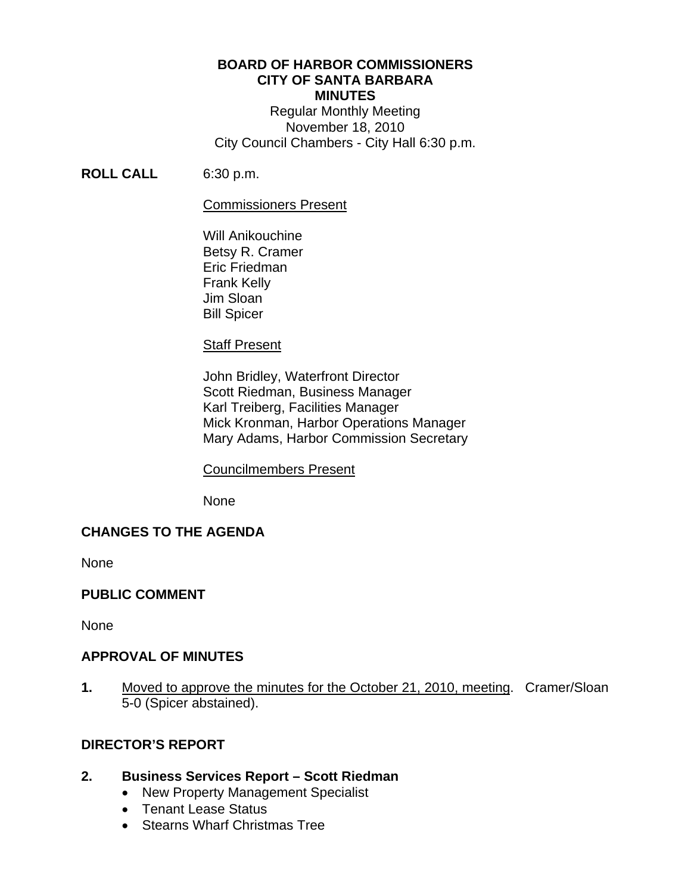## **BOARD OF HARBOR COMMISSIONERS CITY OF SANTA BARBARA MINUTES**

Regular Monthly Meeting November 18, 2010 City Council Chambers - City Hall 6:30 p.m.

# **ROLL CALL** 6:30 p.m.

#### Commissioners Present

 Will Anikouchine Betsy R. Cramer Eric Friedman Frank Kelly Jim Sloan Bill Spicer

# **Staff Present**

 John Bridley, Waterfront Director Scott Riedman, Business Manager Karl Treiberg, Facilities Manager Mick Kronman, Harbor Operations Manager Mary Adams, Harbor Commission Secretary

# Councilmembers Present

None

# **CHANGES TO THE AGENDA**

None

# **PUBLIC COMMENT**

**None** 

#### **APPROVAL OF MINUTES**

**1.** Moved to approve the minutes for the October 21, 2010, meeting. Cramer/Sloan 5-0 (Spicer abstained).

# **DIRECTOR'S REPORT**

# **2. Business Services Report – Scott Riedman**

- New Property Management Specialist
- Tenant Lease Status
- Stearns Wharf Christmas Tree